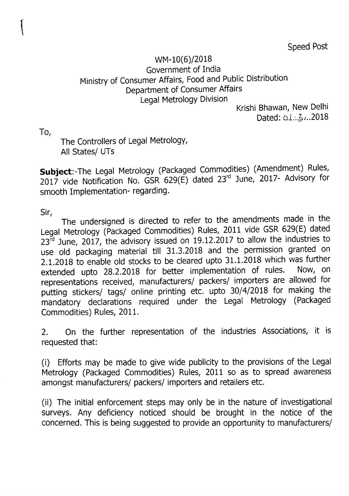Speed Post

## WM-10(6)/2018 Government of India Ministry of Consumer Affairs, Food and Public Distribution Department of Consumer Affairs Legal Metrology Division

Krishi Bhawan, New Delhi Dated: *b.I...,5}1 .. 2018*

To,

 $\mathcal{L}$ 

The Controllers of Legal Metrology, All States/ UTs

**Subject:-The** Legal Metrology (Packaged Commodities) (Amendment) Rules, 2017 vide Notification No. GSR 629(E) dated 23rd June, 2017- Advisory for smooth Implementation- regarding.

Sir,

The undersigned is directed to refer to the amendments made in the Legal Metrology (Packaged Commodities) Rules, 2011 vide GSR 629(E) dated  $23<sup>rd</sup>$  June, 2017, the advisory issued on 19.12.2017 to allow the industries to use old packaging material till 31.3.2018 and the permission granted on 2.1.2018 to enable old stocks to be cleared upto 31.1.2018 which was further<br>extended unto 28.2.2018 for better implementation of rules. Now, on extended upto 28.2.2018 for better implementation of rules. representations received, manufacturers/ packers/ importers are allowed for putting stickers/ tags/ online printing etc. upto 30/4/2018 for making the mandatory declarations required under the Legal Metrology (Packaged Commodities) Rules, 2011.

2. On the further representation of the industries Associations, it is requested that:

(i) Efforts may be made to give wide publicity to the provisions of the Legal Metrology (Packaged Commodities) Rules, 2011 so as to spread awareness amongst manufacturers/ packers/ importers and retailers etc.

(ii) The initial enforcement steps may only be in the nature of investigational surveys. Any deficiency noticed should be brought in the notice of the concerned. This is being suggested to provide an opportunity to manufacturers/